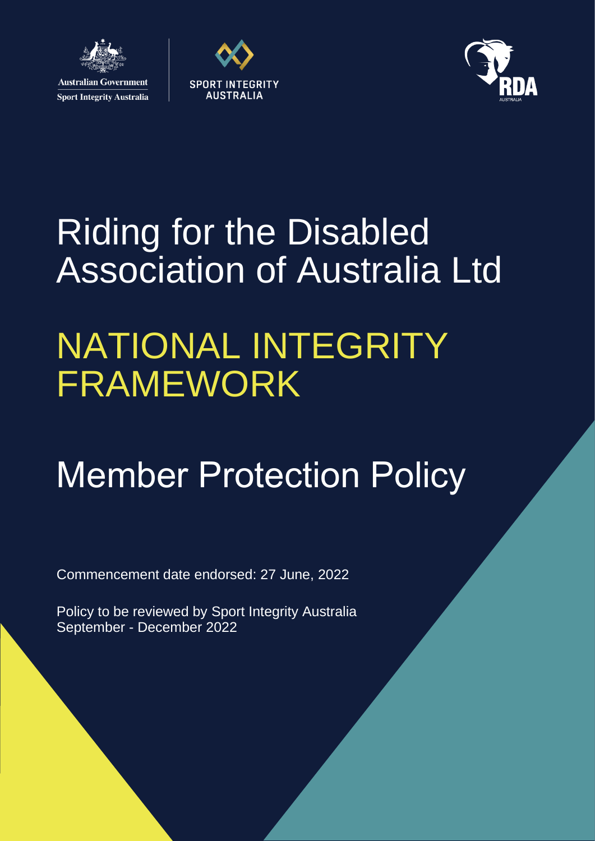

**Sport Integrity Australia** 





# Riding for the Disabled Association of Australia Ltd

## NATIONAL INTEGRITY FRAMEWORK

# Member Protection Policy

Commencement date endorsed: 27 June, 2022

Policy to be reviewed by Sport Integrity Australia September - December 2022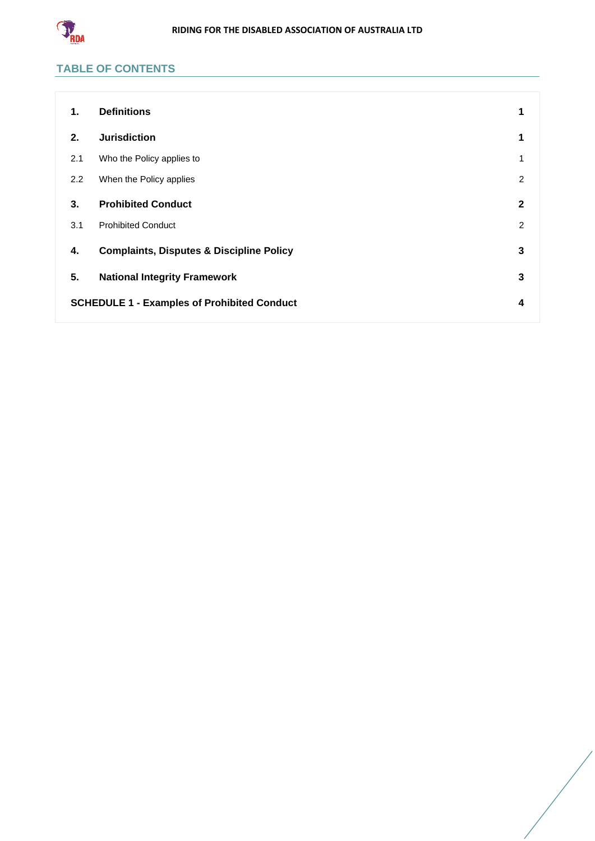

## **TABLE OF CONTENTS**

| 1.                                                 | <b>Definitions</b>                                  | 1              |
|----------------------------------------------------|-----------------------------------------------------|----------------|
| 2.                                                 | <b>Jurisdiction</b>                                 | 1              |
| 2.1                                                | Who the Policy applies to                           | 1              |
| 2.2                                                | When the Policy applies                             | $\overline{2}$ |
| 3.                                                 | <b>Prohibited Conduct</b>                           | $\mathbf{2}$   |
| 3.1                                                | <b>Prohibited Conduct</b>                           | 2              |
| 4.                                                 | <b>Complaints, Disputes &amp; Discipline Policy</b> | 3              |
| 5.                                                 | <b>National Integrity Framework</b>                 | 3              |
| <b>SCHEDULE 1 - Examples of Prohibited Conduct</b> |                                                     | 4              |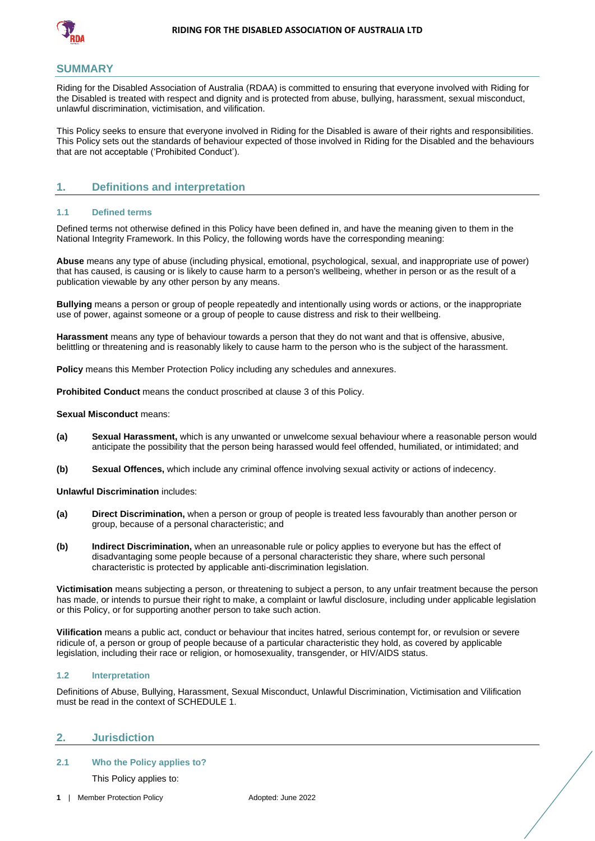

#### **SUMMARY**

Riding for the Disabled Association of Australia (RDAA) is committed to ensuring that everyone involved with Riding for the Disabled is treated with respect and dignity and is protected from abuse, bullying, harassment, sexual misconduct, unlawful discrimination, victimisation, and vilification.

This Policy seeks to ensure that everyone involved in Riding for the Disabled is aware of their rights and responsibilities. This Policy sets out the standards of behaviour expected of those involved in Riding for the Disabled and the behaviours that are not acceptable ('Prohibited Conduct').

### <span id="page-2-0"></span>**1. Definitions and interpretation**

#### **1.1 Defined terms**

Defined terms not otherwise defined in this Policy have been defined in, and have the meaning given to them in the National Integrity Framework. In this Policy, the following words have the corresponding meaning:

**Abuse** means any type of abuse (including physical, emotional, psychological, sexual, and inappropriate use of power) that has caused, is causing or is likely to cause harm to a person's wellbeing, whether in person or as the result of a publication viewable by any other person by any means.

**Bullying** means a person or group of people repeatedly and intentionally using words or actions, or the inappropriate use of power, against someone or a group of people to cause distress and risk to their wellbeing.

**Harassment** means any type of behaviour towards a person that they do not want and that is offensive, abusive, belittling or threatening and is reasonably likely to cause harm to the person who is the subject of the harassment.

**Policy** means this Member Protection Policy including any schedules and annexures.

**Prohibited Conduct** means the conduct proscribed at clause [3](#page-3-1) of this Policy.

#### **Sexual Misconduct** means:

- **(a) Sexual Harassment,** which is any unwanted or unwelcome sexual behaviour where a reasonable person would anticipate the possibility that the person being harassed would feel offended, humiliated, or intimidated; and
- **(b) Sexual Offences,** which include any criminal offence involving sexual activity or actions of indecency.

**Unlawful Discrimination includes:** 

- **(a) Direct Discrimination,** when a person or group of people is treated less favourably than another person or group, because of a personal characteristic; and
- **(b) Indirect Discrimination,** when an unreasonable rule or policy applies to everyone but has the effect of disadvantaging some people because of a personal characteristic they share, where such personal characteristic is protected by applicable anti-discrimination legislation.

**Victimisation** means subjecting a person, or threatening to subject a person, to any unfair treatment because the person has made, or intends to pursue their right to make, a complaint or lawful disclosure, including under applicable legislation or this Policy, or for supporting another person to take such action.

**Vilification** means a public act, conduct or behaviour that incites hatred, serious contempt for, or revulsion or severe ridicule of, a person or group of people because of a particular characteristic they hold, as covered by applicable legislation, including their race or religion, or homosexuality, transgender, or HIV/AIDS status.

#### **1.2 Interpretation**

Definitions of Abuse, Bullying, Harassment, Sexual Misconduct, Unlawful Discrimination, Victimisation and Vilification must be read in the context of [SCHEDULE 1.](#page-5-0)

#### <span id="page-2-1"></span>**2. Jurisdiction**

#### <span id="page-2-2"></span>**2.1 Who the Policy applies to?**

This Policy applies to: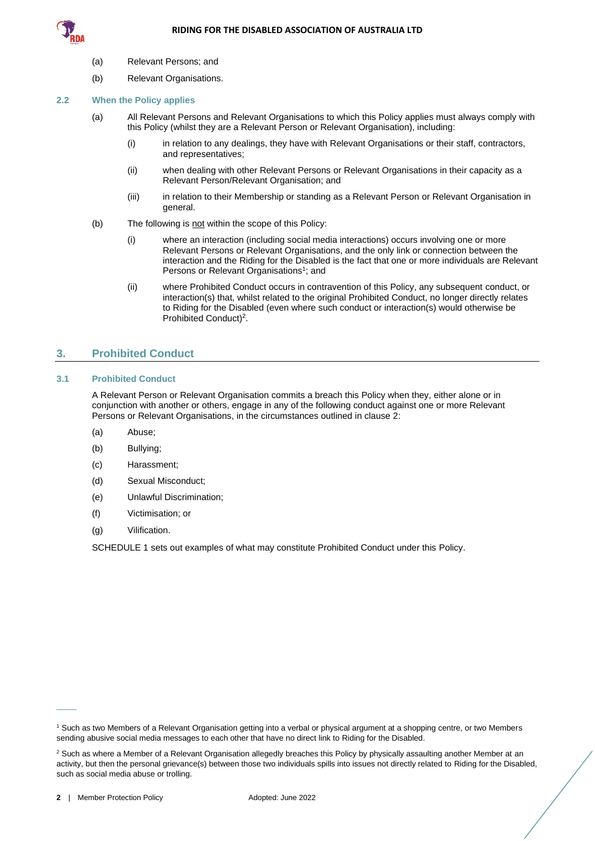

- (a) Relevant Persons; and
- (b) Relevant Organisations.

#### <span id="page-3-0"></span>**2.2 When the Policy applies**

- (a) All Relevant Persons and Relevant Organisations to which this Policy applies must always comply with this Policy (whilst they are a Relevant Person or Relevant Organisation), including:
	- (i) in relation to any dealings, they have with Relevant Organisations or their staff, contractors, and representatives;
	- (ii) when dealing with other Relevant Persons or Relevant Organisations in their capacity as a Relevant Person/Relevant Organisation; and
	- (iii) in relation to their Membership or standing as a Relevant Person or Relevant Organisation in general.
- (b) The following is not within the scope of this Policy:
	- (i) where an interaction (including social media interactions) occurs involving one or more Relevant Persons or Relevant Organisations, and the only link or connection between the interaction and the Riding for the Disabled is the fact that one or more individuals are Relevant Persons or Relevant Organisations<sup>1</sup>; and
	- (ii) where Prohibited Conduct occurs in contravention of this Policy, any subsequent conduct, or interaction(s) that, whilst related to the original Prohibited Conduct, no longer directly relates to Riding for the Disabled (even where such conduct or interaction(s) would otherwise be Prohibited Conduct)<sup>2</sup>.

### <span id="page-3-1"></span>**3. Prohibited Conduct**

#### <span id="page-3-2"></span>**3.1 Prohibited Conduct**

A Relevant Person or Relevant Organisation commits a breach this Policy when they, either alone or in conjunction with another or others, engage in any of the following conduct against one or more Relevant Persons or Relevant Organisations, in the circumstances outlined in clause [2:](#page-2-1)

- (a) Abuse;
- (b) Bullying;
- (c) Harassment;
- (d) Sexual Misconduct;
- (e) Unlawful Discrimination;
- (f) Victimisation; or
- (g) Vilification.

[SCHEDULE 1](#page-5-0) sets out examples of what may constitute Prohibited Conduct under this Policy.

 $\overline{\phantom{a}}$ 

<sup>1</sup> Such as two Members of a Relevant Organisation getting into a verbal or physical argument at a shopping centre, or two Members sending abusive social media messages to each other that have no direct link to Riding for the Disabled.

<sup>&</sup>lt;sup>2</sup> Such as where a Member of a Relevant Organisation allegedly breaches this Policy by physically assaulting another Member at an activity, but then the personal grievance(s) between those two individuals spills into issues not directly related to Riding for the Disabled, such as social media abuse or trolling.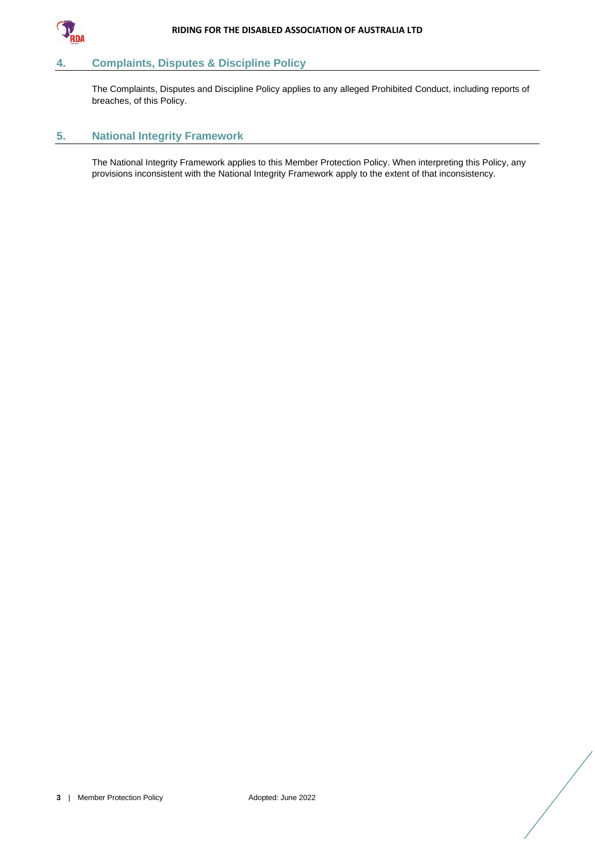

## <span id="page-4-0"></span>**4. Complaints, Disputes & Discipline Policy**

The Complaints, Disputes and Discipline Policy applies to any alleged Prohibited Conduct, including reports of breaches, of this Policy.

### <span id="page-4-1"></span>**5. National Integrity Framework**

The National Integrity Framework applies to this Member Protection Policy. When interpreting this Policy, any provisions inconsistent with the National Integrity Framework apply to the extent of that inconsistency.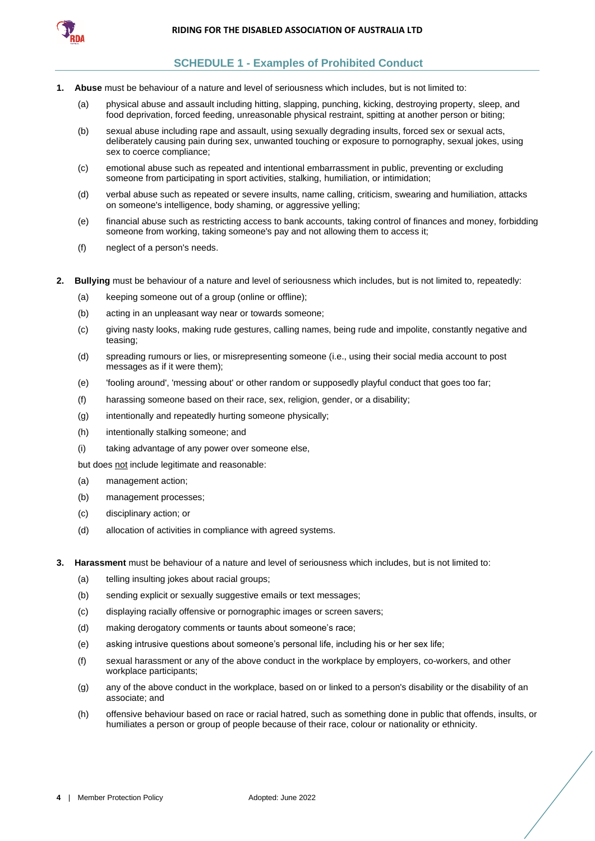

## <span id="page-5-0"></span>**SCHEDULE 1 - Examples of Prohibited Conduct**

- **1. Abuse** must be behaviour of a nature and level of seriousness which includes, but is not limited to:
	- (a) physical abuse and assault including hitting, slapping, punching, kicking, destroying property, sleep, and food deprivation, forced feeding, unreasonable physical restraint, spitting at another person or biting;
	- (b) sexual abuse including rape and assault, using sexually degrading insults, forced sex or sexual acts, deliberately causing pain during sex, unwanted touching or exposure to pornography, sexual jokes, using sex to coerce compliance;
	- (c) emotional abuse such as repeated and intentional embarrassment in public, preventing or excluding someone from participating in sport activities, stalking, humiliation, or intimidation;
	- (d) verbal abuse such as repeated or severe insults, name calling, criticism, swearing and humiliation, attacks on someone's intelligence, body shaming, or aggressive yelling;
	- (e) financial abuse such as restricting access to bank accounts, taking control of finances and money, forbidding someone from working, taking someone's pay and not allowing them to access it;
	- (f) neglect of a person's needs.
- **2. Bullying** must be behaviour of a nature and level of seriousness which includes, but is not limited to, repeatedly:
	- (a) keeping someone out of a group (online or offline);
	- (b) acting in an unpleasant way near or towards someone;
	- (c) giving nasty looks, making rude gestures, calling names, being rude and impolite, constantly negative and teasing;
	- (d) spreading rumours or lies, or misrepresenting someone (i.e., using their social media account to post messages as if it were them);
	- (e) 'fooling around', 'messing about' or other random or supposedly playful conduct that goes too far;
	- (f) harassing someone based on their race, sex, religion, gender, or a disability;
	- (g) intentionally and repeatedly hurting someone physically;
	- (h) intentionally stalking someone; and
	- (i) taking advantage of any power over someone else,

but does not include legitimate and reasonable:

- (a) management action;
- (b) management processes;
- (c) disciplinary action; or
- (d) allocation of activities in compliance with agreed systems.
- **3. Harassment** must be behaviour of a nature and level of seriousness which includes, but is not limited to:
	- (a) telling insulting jokes about racial groups;
	- (b) sending explicit or sexually suggestive emails or text messages;
	- (c) displaying racially offensive or pornographic images or screen savers;
	- (d) making derogatory comments or taunts about someone's race;
	- (e) asking intrusive questions about someone's personal life, including his or her sex life;
	- (f) sexual harassment or any of the above conduct in the workplace by employers, co-workers, and other workplace participants;
	- (g) any of the above conduct in the workplace, based on or linked to a person's disability or the disability of an associate; and
	- (h) offensive behaviour based on race or racial hatred, such as something done in public that offends, insults, or humiliates a person or group of people because of their race, colour or nationality or ethnicity.